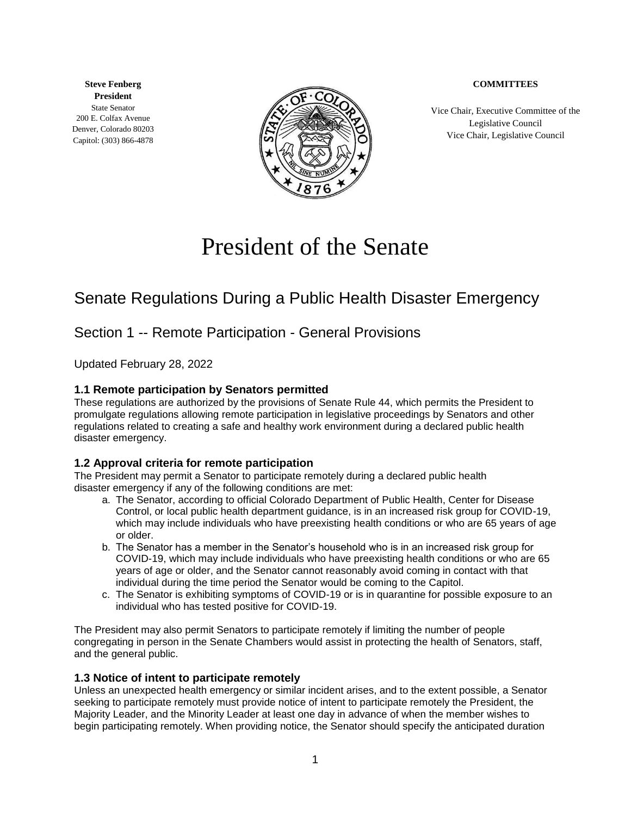#### **COMMITTEES**

**Steve Fenberg President** State Senator 200 E. Colfax Avenue Denver, Colorado 80203 Capitol: (303) 866-4878



Vice Chair, Executive Committee of the Legislative Council Vice Chair, Legislative Council

# President of the Senate

## Senate Regulations During a Public Health Disaster Emergency

## Section 1 -- Remote Participation - General Provisions

Updated February 28, 2022

#### **1.1 Remote participation by Senators permitted**

These regulations are authorized by the provisions of Senate Rule 44, which permits the President to promulgate regulations allowing remote participation in legislative proceedings by Senators and other regulations related to creating a safe and healthy work environment during a declared public health disaster emergency.

#### **1.2 Approval criteria for remote participation**

The President may permit a Senator to participate remotely during a declared public health disaster emergency if any of the following conditions are met:

- a. The Senator, according to official Colorado Department of Public Health, Center for Disease Control, or local public health department guidance, is in an increased risk group for COVID-19, which may include individuals who have preexisting health conditions or who are 65 years of age or older.
- b. The Senator has a member in the Senator's household who is in an increased risk group for COVID-19, which may include individuals who have preexisting health conditions or who are 65 years of age or older, and the Senator cannot reasonably avoid coming in contact with that individual during the time period the Senator would be coming to the Capitol.
- c. The Senator is exhibiting symptoms of COVID-19 or is in quarantine for possible exposure to an individual who has tested positive for COVID-19.

The President may also permit Senators to participate remotely if limiting the number of people congregating in person in the Senate Chambers would assist in protecting the health of Senators, staff, and the general public.

#### **1.3 Notice of intent to participate remotely**

Unless an unexpected health emergency or similar incident arises, and to the extent possible, a Senator seeking to participate remotely must provide notice of intent to participate remotely the President, the Majority Leader, and the Minority Leader at least one day in advance of when the member wishes to begin participating remotely. When providing notice, the Senator should specify the anticipated duration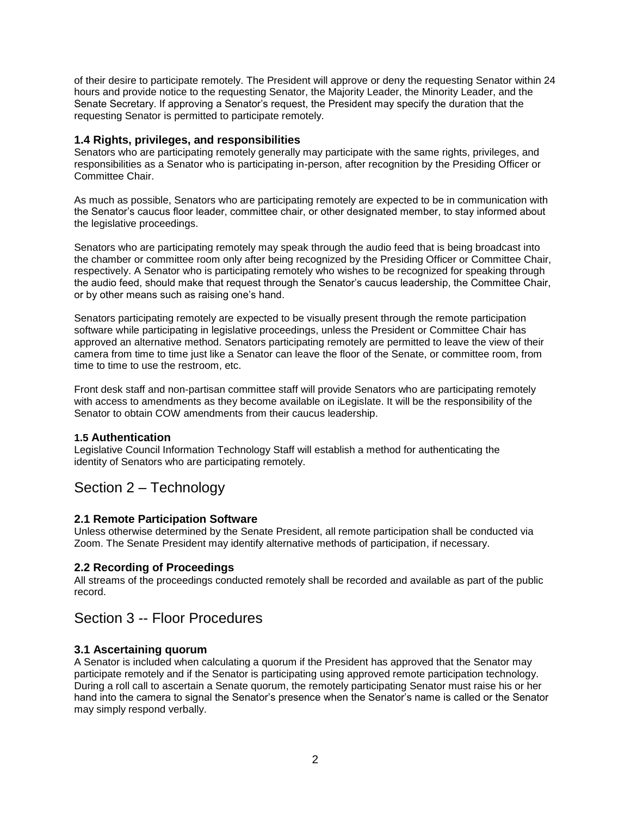of their desire to participate remotely. The President will approve or deny the requesting Senator within 24 hours and provide notice to the requesting Senator, the Majority Leader, the Minority Leader, and the Senate Secretary. If approving a Senator's request, the President may specify the duration that the requesting Senator is permitted to participate remotely.

#### **1.4 Rights, privileges, and responsibilities**

Senators who are participating remotely generally may participate with the same rights, privileges, and responsibilities as a Senator who is participating in-person, after recognition by the Presiding Officer or Committee Chair.

As much as possible, Senators who are participating remotely are expected to be in communication with the Senator's caucus floor leader, committee chair, or other designated member, to stay informed about the legislative proceedings.

Senators who are participating remotely may speak through the audio feed that is being broadcast into the chamber or committee room only after being recognized by the Presiding Officer or Committee Chair, respectively. A Senator who is participating remotely who wishes to be recognized for speaking through the audio feed, should make that request through the Senator's caucus leadership, the Committee Chair, or by other means such as raising one's hand.

Senators participating remotely are expected to be visually present through the remote participation software while participating in legislative proceedings, unless the President or Committee Chair has approved an alternative method. Senators participating remotely are permitted to leave the view of their camera from time to time just like a Senator can leave the floor of the Senate, or committee room, from time to time to use the restroom, etc.

Front desk staff and non-partisan committee staff will provide Senators who are participating remotely with access to amendments as they become available on iLegislate. It will be the responsibility of the Senator to obtain COW amendments from their caucus leadership.

#### **1.5 Authentication**

Legislative Council Information Technology Staff will establish a method for authenticating the identity of Senators who are participating remotely.

## Section 2 – Technology

#### **2.1 Remote Participation Software**

Unless otherwise determined by the Senate President, all remote participation shall be conducted via Zoom. The Senate President may identify alternative methods of participation, if necessary.

#### **2.2 Recording of Proceedings**

All streams of the proceedings conducted remotely shall be recorded and available as part of the public record.

## Section 3 -- Floor Procedures

#### **3.1 Ascertaining quorum**

A Senator is included when calculating a quorum if the President has approved that the Senator may participate remotely and if the Senator is participating using approved remote participation technology. During a roll call to ascertain a Senate quorum, the remotely participating Senator must raise his or her hand into the camera to signal the Senator's presence when the Senator's name is called or the Senator may simply respond verbally.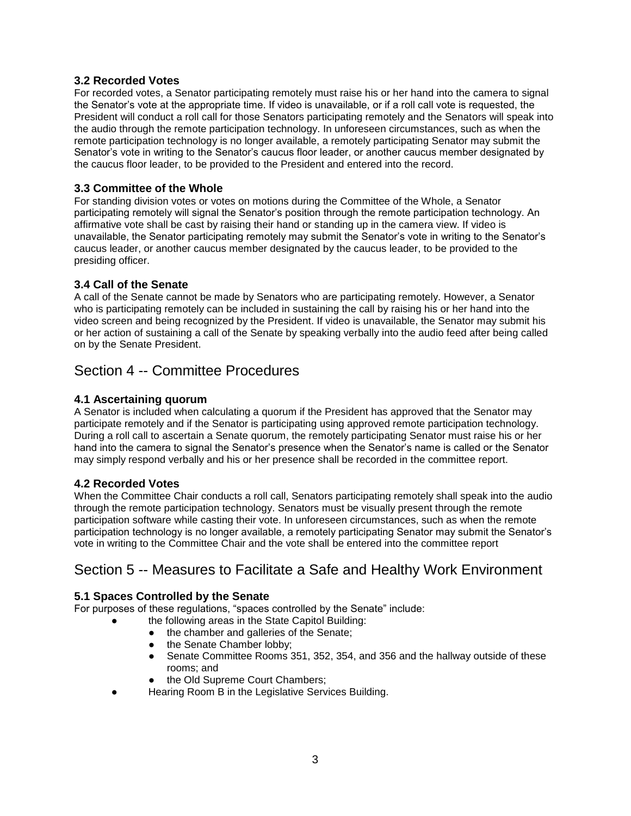#### **3.2 Recorded Votes**

For recorded votes, a Senator participating remotely must raise his or her hand into the camera to signal the Senator's vote at the appropriate time. If video is unavailable, or if a roll call vote is requested, the President will conduct a roll call for those Senators participating remotely and the Senators will speak into the audio through the remote participation technology. In unforeseen circumstances, such as when the remote participation technology is no longer available, a remotely participating Senator may submit the Senator's vote in writing to the Senator's caucus floor leader, or another caucus member designated by the caucus floor leader, to be provided to the President and entered into the record.

#### **3.3 Committee of the Whole**

For standing division votes or votes on motions during the Committee of the Whole, a Senator participating remotely will signal the Senator's position through the remote participation technology. An affirmative vote shall be cast by raising their hand or standing up in the camera view. If video is unavailable, the Senator participating remotely may submit the Senator's vote in writing to the Senator's caucus leader, or another caucus member designated by the caucus leader, to be provided to the presiding officer.

#### **3.4 Call of the Senate**

A call of the Senate cannot be made by Senators who are participating remotely. However, a Senator who is participating remotely can be included in sustaining the call by raising his or her hand into the video screen and being recognized by the President. If video is unavailable, the Senator may submit his or her action of sustaining a call of the Senate by speaking verbally into the audio feed after being called on by the Senate President.

## Section 4 -- Committee Procedures

#### **4.1 Ascertaining quorum**

A Senator is included when calculating a quorum if the President has approved that the Senator may participate remotely and if the Senator is participating using approved remote participation technology. During a roll call to ascertain a Senate quorum, the remotely participating Senator must raise his or her hand into the camera to signal the Senator's presence when the Senator's name is called or the Senator may simply respond verbally and his or her presence shall be recorded in the committee report.

#### **4.2 Recorded Votes**

When the Committee Chair conducts a roll call, Senators participating remotely shall speak into the audio through the remote participation technology. Senators must be visually present through the remote participation software while casting their vote. In unforeseen circumstances, such as when the remote participation technology is no longer available, a remotely participating Senator may submit the Senator's vote in writing to the Committee Chair and the vote shall be entered into the committee report

## Section 5 -- Measures to Facilitate a Safe and Healthy Work Environment

#### **5.1 Spaces Controlled by the Senate**

For purposes of these regulations, "spaces controlled by the Senate" include:

- the following areas in the State Capitol Building:
- the chamber and galleries of the Senate;
- the Senate Chamber lobby;
- Senate Committee Rooms 351, 352, 354, and 356 and the hallway outside of these rooms; and
- the Old Supreme Court Chambers;
- Hearing Room B in the Legislative Services Building.